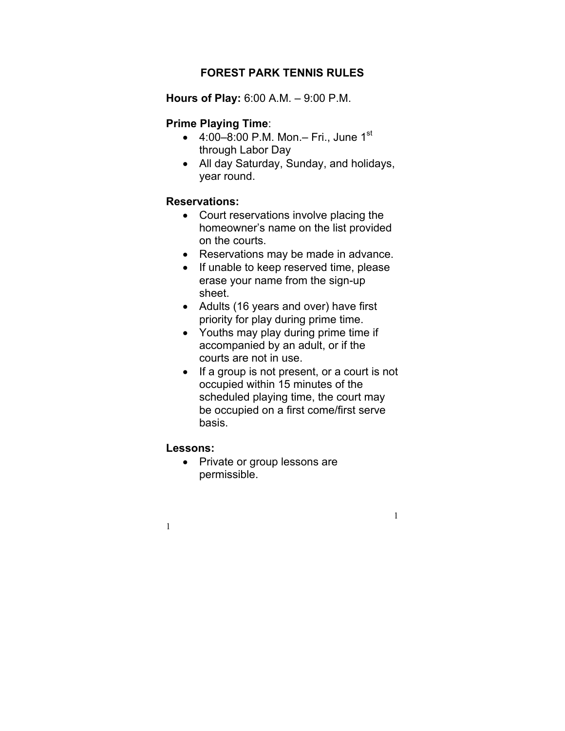# **FOREST PARK TENNIS RULES**

**Hours of Play:** 6:00 A.M. – 9:00 P.M.

## **Prime Playing Time**:

- $4:00-8:00$  P.M. Mon. Fri., June 1<sup>st</sup> through Labor Day
- All day Saturday, Sunday, and holidays, year round.

### **Reservations:**

- Court reservations involve placing the homeowner's name on the list provided on the courts.
- Reservations may be made in advance.
- If unable to keep reserved time, please erase your name from the sign-up sheet.
- Adults (16 years and over) have first priority for play during prime time.
- Youths may play during prime time if accompanied by an adult, or if the courts are not in use.
- If a group is not present, or a court is not occupied within 15 minutes of the scheduled playing time, the court may be occupied on a first come/first serve basis.

1

#### **Lessons:**

1

• Private or group lessons are permissible.